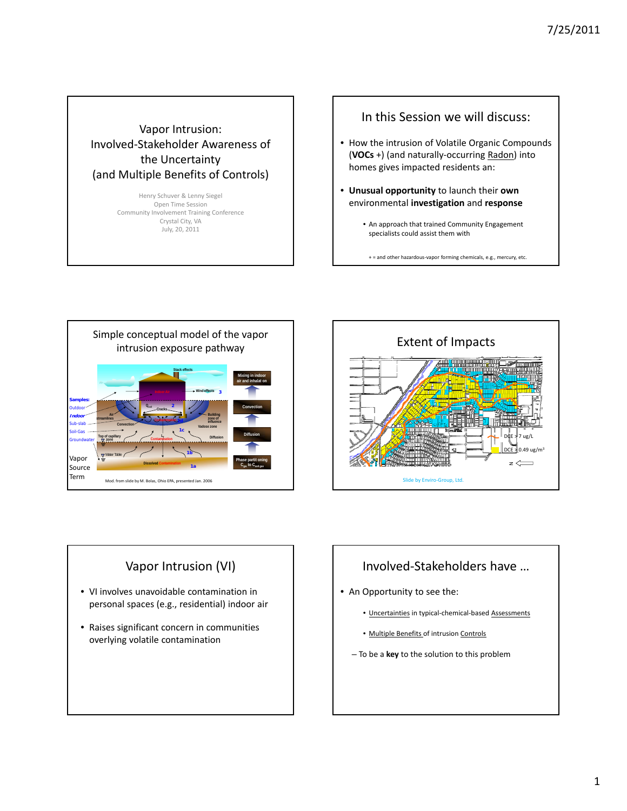#### Vapor Intrusion: Involved‐Stakeholder Awareness of the Uncertainty (and Multiple Benefits of Controls)

 Henry Schuver & Lenny Siegel Open Time Session Community Involvement Training Conference Crystal City, VA July, 20, 2011

#### In this Session we will discuss:

- How the intrusion of Volatile Organic Compounds (**VOCs** +) (and naturally‐occurring Radon) into homes gives impacted residents an:
- • **Unusual opportunity** to launch their **own** environmental **investigation** and **response**
	- An approach that trained Community Engagement specialists could assist them with

+ = and other hazardous‐vapor forming chemicals, e.g., mercury, etc.





# Vapor Intrusion (VI)

- • VI involves unavoidable contamination in personal spaces (e.g., residential) indoor air
- • Raises significant concern in communities overlying volatile contamination

## Involved‐Stakeholders have …

- An Opportunity to see the:
	- Uncertainties in typical‐chemical‐based Assessments
	- Multiple Benefits of intrusion Controls
	- To be a **key** to the solution to this problem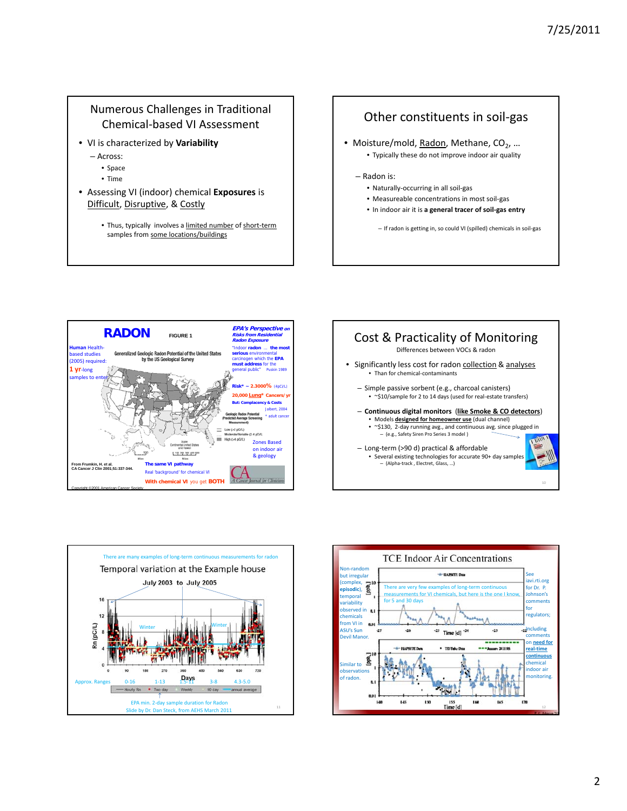#### Numerous Challenges in Traditional Chemical‐based VI Assessment

- • VI is characterized by **Variability**
	- Across:
		- Space
		- Time
- • Assessing VI (indoor) chemical **Exposures** is Difficult, Disruptive, & Costly
	- Thus, typically involves a limited number of short-term samples from <u>some locations/buildings</u>

### Other constituents in soil‐gas

- Moisture/mold, **Radon**, Methane, CO<sub>2</sub>, ...
	- Typically these do not improve indoor air quality

#### – Radon is:

- Naturally‐occurring in all soil‐gas
- Measureable concentrations in most soil‐gas
- In indoor air it is **a general tracer of soil‐gas entry**

– If radon is getting in, so could VI (spilled) chemicals in soil‐gas







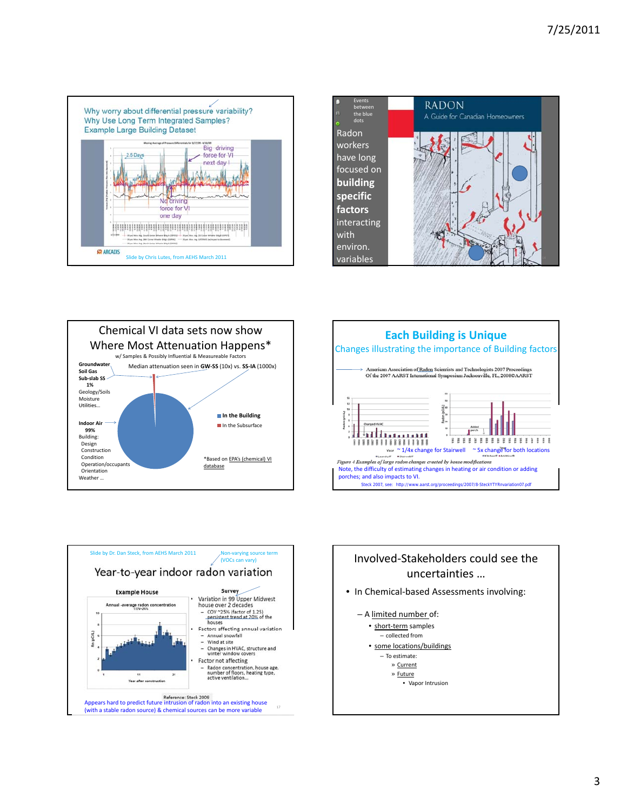









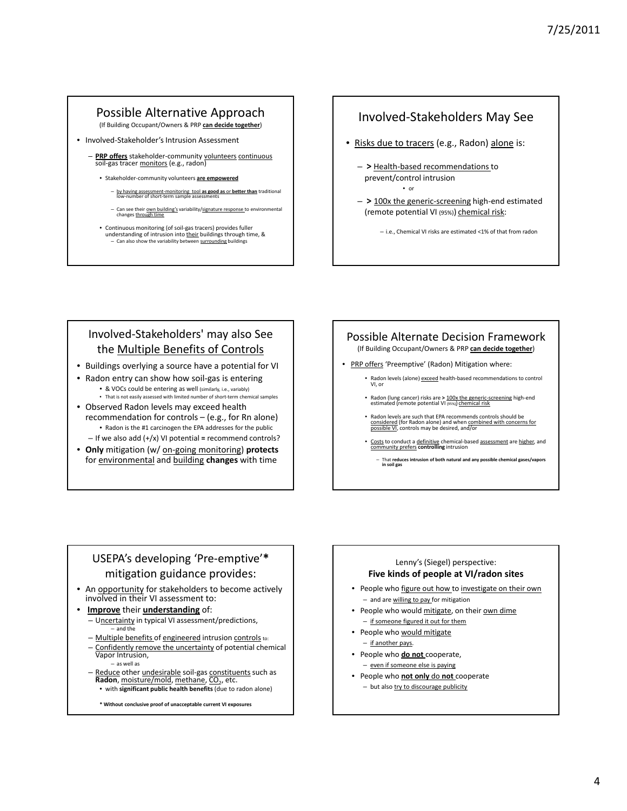#### Possible Alternative Approach

 (If Building Occupant/Owners & PRP **can decide together**)

- Involved-Stakeholder's Intrusion Assessment
	- soil-gas tracer <u>monitors</u> (e.g., radon) – **PRP offers** stakeholder‐community volunteers continuous
		- Stakeholder‐community volunteers **are empowered**
			- – by having assessment‐monitoring tool **as good as** or **better than** traditional low‐number of short‐term sample assessments
			- Can see their own building's variability/signature response to environmental changes through time
		- Continuous monitoring (of soil-gas tracers) provides fuller<br>understanding of intrusion into their buildings through time, &<br>– Can also show the variability between surrounding buildings



- Risks due to tracers (e.g., Radon) alone is:
	- prevent/control intrusion – **>** Health‐based recommendations to • or
	- > 100x the generic-screening high-end estimated (remote potential VI (95%)) chemical risk:

– i.e., Chemical VI risks are estimated <1% of that from radon

#### Involved‐Stakeholders' may also See the Multiple Benefits of Controls

- • Buildings overlying a source have a potential for VI
- Radon entry can show how soil-gas is entering • & VOCs could be entering as well (similarly, i.e., variably) • That is not easily assessed with limited number of short‐term chemical samples
- Observed Radon levels may exceed health recommendation for controls – (e.g., for Rn alone) • Radon is the #1 carcinogen the EPA addresses for the public
	- If we also add (+/x) VI potential **=** recommend controls?
- • **Only** mitigation (w/ on‐going monitoring) **protects** for environmental and building **changes** with time

#### Possible Alternate Decision Framework  (If Building Occupant/Owners & PRP **can decide together**)

- PRP offers 'Preemptive' (Radon) Mitigation where:
	- Radon levels (alone) **exceed** health-based recommendations to control VI, or
	- Radon (lung cancer) risks are > 100x the generic-screening high-end estimated (remote potential VI (95%) chemical risk
	- Radon levels are such that EPA recommends controls should be<br>c<u>onsidered</u> (for Radon alone) and when <u>combined with concerns for</u><br><u>possible VI</u>, controls may be desired, and/or
	- • Costs to conduct <sup>a</sup> definitive chemical‐based assessment are higher, and community prefers **controlling** intrusion

 – That **reduces intrusion of both natural and any possible chemical gases/vapors in soil gas**

#### USEPA's developing 'Pre‐emptive'**\*** mitigation guidance provides:

- An **opportunity** for stakeholders to become actively involved in their VI assessment to: involved in their VI assessment to:
- Uncertainty in typical VI assessment/predictions, **Improve** their **understanding** of: – and the
	- Multiple benefits of engineered intrusion controls to:
	- Confidently remove the uncertainty of potential chemical<br>Vapor Intrusion, Vapor Intrusion,
	- as well as – Reduce other undesirable soil‐gas constituents such as **Radon**, moisture/mold, methane, CO2, etc.  • with **significant public health benefits** (due to radon alone)

 **\* Without conclusive proof of unacceptable current VI exposures**

#### Lenny's (Siegel) perspective:  **Five kinds of people at VI/radon sites**

- People who figure out how to investigate on their own – and are willing to pay for mitigation
- People who would mitigate, on their own dime – if someone figured it out for them
- People who would mitigate – if another pays.
- • People who **do not** cooperate, – even if someone else is paying
	-
- • People who **not only** do **not** cooperate - but also try to discourage publicity